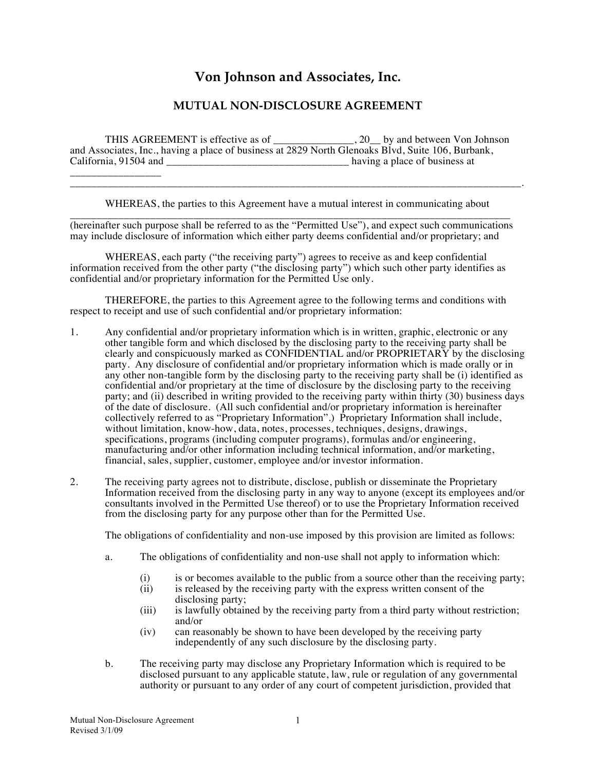## **Von Johnson and Associates, Inc.**

## **MUTUAL NON-DISCLOSURE AGREEMENT**

THIS AGREEMENT is effective as of \_\_\_\_\_\_\_\_\_\_\_\_\_\_\_, 20\_\_ by and between Von Johnson and Associates, Inc., having a place of business at 2829 North Glenoaks Blvd, Suite 106, Burbank,  $\Box$  having a place of business at \_\_\_\_\_\_\_\_\_\_\_\_\_\_\_\_\_

WHEREAS, the parties to this Agreement have a mutual interest in communicating about

\_\_\_\_\_\_\_\_\_\_\_\_\_\_\_\_\_\_\_\_\_\_\_\_\_\_\_\_\_\_\_\_\_\_\_\_\_\_\_\_\_\_\_\_\_\_\_\_\_\_\_\_\_\_\_\_\_\_\_\_\_\_\_\_\_\_\_\_\_\_\_\_\_\_\_\_\_\_\_\_\_\_\_\_.

\_\_\_\_\_\_\_\_\_\_\_\_\_\_\_\_\_\_\_\_\_\_\_\_\_\_\_\_\_\_\_\_\_\_\_\_\_\_\_\_\_\_\_\_\_\_\_\_\_\_\_\_\_\_\_\_\_\_\_\_\_\_\_\_\_\_\_\_\_\_\_\_\_\_\_\_\_\_\_\_\_\_ (hereinafter such purpose shall be referred to as the "Permitted Use"), and expect such communications may include disclosure of information which either party deems confidential and/or proprietary; and

WHEREAS, each party ("the receiving party") agrees to receive as and keep confidential information received from the other party ("the disclosing party") which such other party identifies as confidential and/or proprietary information for the Permitted Use only.

THEREFORE, the parties to this Agreement agree to the following terms and conditions with respect to receipt and use of such confidential and/or proprietary information:

- 1. Any confidential and/or proprietary information which is in written, graphic, electronic or any other tangible form and which disclosed by the disclosing party to the receiving party shall be clearly and conspicuously marked as CONFIDENTIAL and/or PROPRIETARY by the disclosing party. Any disclosure of confidential and/or proprietary information which is made orally or in any other non-tangible form by the disclosing party to the receiving party shall be (i) identified as confidential and/or proprietary at the time of disclosure by the disclosing party to the receiving party; and (ii) described in writing provided to the receiving party within thirty (30) business days of the date of disclosure. (All such confidential and/or proprietary information is hereinafter collectively referred to as "Proprietary Information".) Proprietary Information shall include, without limitation, know-how, data, notes, processes, techniques, designs, drawings, specifications, programs (including computer programs), formulas and/or engineering, manufacturing and/or other information including technical information, and/or marketing, financial, sales, supplier, customer, employee and/or investor information.
- 2. The receiving party agrees not to distribute, disclose, publish or disseminate the Proprietary Information received from the disclosing party in any way to anyone (except its employees and/or consultants involved in the Permitted Use thereof) or to use the Proprietary Information received from the disclosing party for any purpose other than for the Permitted Use.

The obligations of confidentiality and non-use imposed by this provision are limited as follows:

- a. The obligations of confidentiality and non-use shall not apply to information which:
	- (i) is or becomes available to the public from a source other than the receiving party;<br>(ii) is released by the receiving party with the express written consent of the
		- is released by the receiving party with the express written consent of the disclosing party;
	- (iii) is lawfully obtained by the receiving party from a third party without restriction; and/or
	- (iv) can reasonably be shown to have been developed by the receiving party independently of any such disclosure by the disclosing party.
- b. The receiving party may disclose any Proprietary Information which is required to be disclosed pursuant to any applicable statute, law, rule or regulation of any governmental authority or pursuant to any order of any court of competent jurisdiction, provided that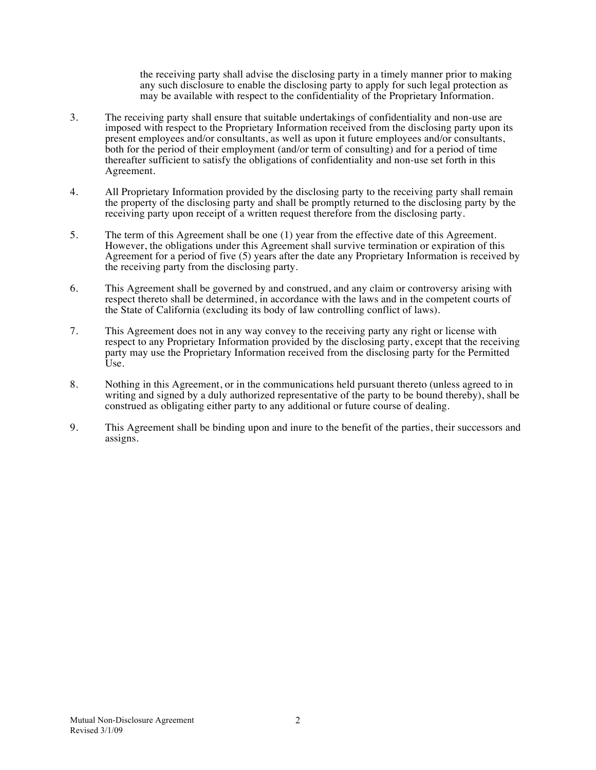the receiving party shall advise the disclosing party in a timely manner prior to making any such disclosure to enable the disclosing party to apply for such legal protection as may be available with respect to the confidentiality of the Proprietary Information.

- 3. The receiving party shall ensure that suitable undertakings of confidentiality and non-use are imposed with respect to the Proprietary Information received from the disclosing party upon its present employees and/or consultants, as well as upon it future employees and/or consultants, both for the period of their employment (and/or term of consulting) and for a period of time thereafter sufficient to satisfy the obligations of confidentiality and non-use set forth in this Agreement.
- 4. All Proprietary Information provided by the disclosing party to the receiving party shall remain the property of the disclosing party and shall be promptly returned to the disclosing party by the receiving party upon receipt of a written request therefore from the disclosing party.
- 5. The term of this Agreement shall be one (1) year from the effective date of this Agreement. However, the obligations under this Agreement shall survive termination or expiration of this Agreement for a period of five (5) years after the date any Proprietary Information is received by the receiving party from the disclosing party.
- 6. This Agreement shall be governed by and construed, and any claim or controversy arising with respect thereto shall be determined, in accordance with the laws and in the competent courts of the State of California (excluding its body of law controlling conflict of laws).
- 7. This Agreement does not in any way convey to the receiving party any right or license with respect to any Proprietary Information provided by the disclosing party, except that the receiving party may use the Proprietary Information received from the disclosing party for the Permitted Use.
- 8. Nothing in this Agreement, or in the communications held pursuant thereto (unless agreed to in writing and signed by a duly authorized representative of the party to be bound thereby), shall be construed as obligating either party to any additional or future course of dealing.
- 9. This Agreement shall be binding upon and inure to the benefit of the parties, their successors and assigns.